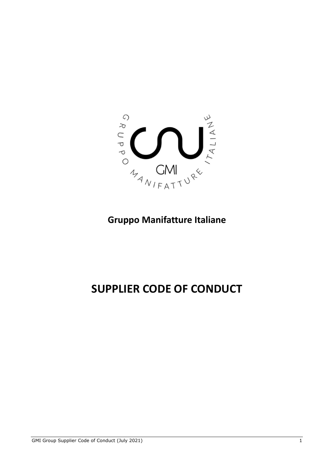

## **Gruppo Manifatture Italiane**

# **SUPPLIER CODE OF CONDUCT**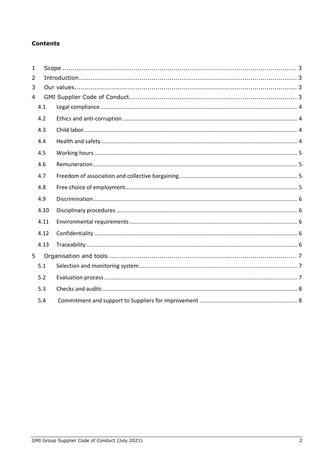#### **Contents**

| 1 |      |  |
|---|------|--|
| 2 |      |  |
| 3 |      |  |
| 4 |      |  |
|   | 4.1  |  |
|   | 4.2  |  |
|   | 4.3  |  |
|   | 4.4  |  |
|   | 4.5  |  |
|   | 4.6  |  |
|   | 4.7  |  |
|   | 4.8  |  |
|   | 4.9  |  |
|   | 4.10 |  |
|   | 4.11 |  |
|   | 4.12 |  |
|   | 4.13 |  |
| 5 |      |  |
|   | 5.1  |  |
|   | 5.2  |  |
|   | 5.3  |  |
|   | 5.4  |  |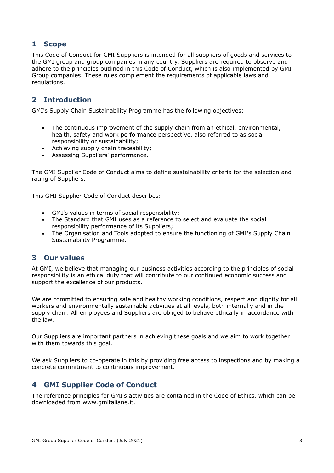## <span id="page-2-0"></span>**1 Scope**

This Code of Conduct for GMI Suppliers is intended for all suppliers of goods and services to the GMI group and group companies in any country. Suppliers are required to observe and adhere to the principles outlined in this Code of Conduct, which is also implemented by GMI Group companies. These rules complement the requirements of applicable laws and regulations.

## <span id="page-2-1"></span>**2 Introduction**

GMI's Supply Chain Sustainability Programme has the following objectives:

- The continuous improvement of the supply chain from an ethical, environmental, health, safety and work performance perspective, also referred to as social responsibility or sustainability;
- Achieving supply chain traceability;
- Assessing Suppliers' performance.

The GMI Supplier Code of Conduct aims to define sustainability criteria for the selection and rating of Suppliers.

This GMI Supplier Code of Conduct describes:

- GMI's values in terms of social responsibility;
- The Standard that GMI uses as a reference to select and evaluate the social responsibility performance of its Suppliers;
- The Organisation and Tools adopted to ensure the functioning of GMI's Supply Chain Sustainability Programme.

#### <span id="page-2-2"></span>**3 Our values**

At GMI, we believe that managing our business activities according to the principles of social responsibility is an ethical duty that will contribute to our continued economic success and support the excellence of our products.

We are committed to ensuring safe and healthy working conditions, respect and dignity for all workers and environmentally sustainable activities at all levels, both internally and in the supply chain. All employees and Suppliers are obliged to behave ethically in accordance with the law.

Our Suppliers are important partners in achieving these goals and we aim to work together with them towards this goal.

We ask Suppliers to co-operate in this by providing free access to inspections and by making a concrete commitment to continuous improvement.

## <span id="page-2-3"></span>**4 GMI Supplier Code of Conduct**

The reference principles for GMI's activities are contained in the Code of Ethics, which can be downloaded from www.gmitaliane.it.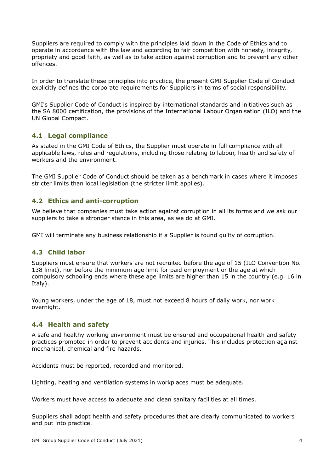Suppliers are required to comply with the principles laid down in the Code of Ethics and to operate in accordance with the law and according to fair competition with honesty, integrity, propriety and good faith, as well as to take action against corruption and to prevent any other offences.

In order to translate these principles into practice, the present GMI Supplier Code of Conduct explicitly defines the corporate requirements for Suppliers in terms of social responsibility.

GMI's Supplier Code of Conduct is inspired by international standards and initiatives such as the SA 8000 certification, the provisions of the International Labour Organisation (ILO) and the UN Global Compact.

#### <span id="page-3-0"></span>**4.1 Legal compliance**

As stated in the GMI Code of Ethics, the Supplier must operate in full compliance with all applicable laws, rules and regulations, including those relating to labour, health and safety of workers and the environment.

The GMI Supplier Code of Conduct should be taken as a benchmark in cases where it imposes stricter limits than local legislation (the stricter limit applies).

#### <span id="page-3-1"></span>**4.2 Ethics and anti-corruption**

We believe that companies must take action against corruption in all its forms and we ask our suppliers to take a stronger stance in this area, as we do at GMI.

GMI will terminate any business relationship if a Supplier is found guilty of corruption.

#### <span id="page-3-2"></span>**4.3 Child labor**

Suppliers must ensure that workers are not recruited before the age of 15 (ILO Convention No. 138 limit), nor before the minimum age limit for paid employment or the age at which compulsory schooling ends where these age limits are higher than 15 in the country (e.g. 16 in Italy).

Young workers, under the age of 18, must not exceed 8 hours of daily work, nor work overnight.

#### <span id="page-3-3"></span>**4.4 Health and safety**

A safe and healthy working environment must be ensured and occupational health and safety practices promoted in order to prevent accidents and injuries. This includes protection against mechanical, chemical and fire hazards.

Accidents must be reported, recorded and monitored.

Lighting, heating and ventilation systems in workplaces must be adequate.

Workers must have access to adequate and clean sanitary facilities at all times.

Suppliers shall adopt health and safety procedures that are clearly communicated to workers and put into practice.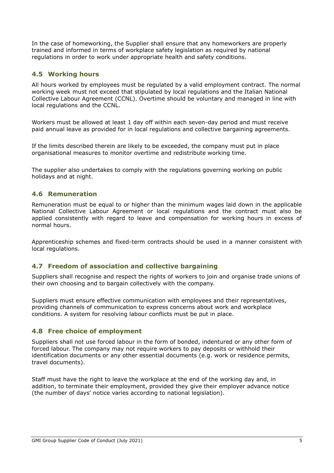In the case of homeworking, the Supplier shall ensure that any homeworkers are properly trained and informed in terms of workplace safety legislation as required by national regulations in order to work under appropriate health and safety conditions.

#### <span id="page-4-0"></span>**4.5 Working hours**

All hours worked by employees must be regulated by a valid employment contract. The normal working week must not exceed that stipulated by local regulations and the Italian National Collective Labour Agreement (CCNL). Overtime should be voluntary and managed in line with local regulations and the CCNL.

Workers must be allowed at least 1 day off within each seven-day period and must receive paid annual leave as provided for in local regulations and collective bargaining agreements.

If the limits described therein are likely to be exceeded, the company must put in place organisational measures to monitor overtime and redistribute working time.

The supplier also undertakes to comply with the regulations governing working on public holidays and at night.

#### <span id="page-4-1"></span>**4.6 Remuneration**

Remuneration must be equal to or higher than the minimum wages laid down in the applicable National Collective Labour Agreement or local regulations and the contract must also be applied consistently with regard to leave and compensation for working hours in excess of normal hours.

Apprenticeship schemes and fixed-term contracts should be used in a manner consistent with local regulations.

#### <span id="page-4-2"></span>**4.7 Freedom of association and collective bargaining**

Suppliers shall recognise and respect the rights of workers to join and organise trade unions of their own choosing and to bargain collectively with the company.

Suppliers must ensure effective communication with employees and their representatives, providing channels of communication to express concerns about work and workplace conditions. A system for resolving labour conflicts must be put in place.

#### <span id="page-4-3"></span>**4.8 Free choice of employment**

Suppliers shall not use forced labour in the form of bonded, indentured or any other form of forced labour. The company may not require workers to pay deposits or withhold their identification documents or any other essential documents (e.g. work or residence permits, travel documents).

<span id="page-4-4"></span>Staff must have the right to leave the workplace at the end of the working day and, in addition, to terminate their employment, provided they give their employer advance notice (the number of days' notice varies according to national legislation).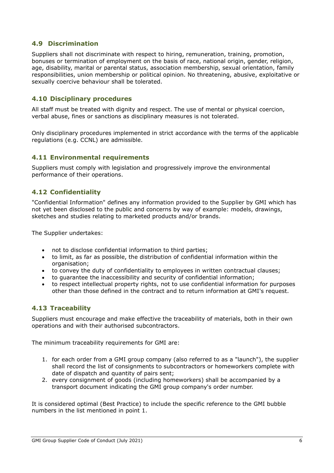#### **4.9 Discrimination**

Suppliers shall not discriminate with respect to hiring, remuneration, training, promotion, bonuses or termination of employment on the basis of race, national origin, gender, religion, age, disability, marital or parental status, association membership, sexual orientation, family responsibilities, union membership or political opinion. No threatening, abusive, exploitative or sexually coercive behaviour shall be tolerated.

#### <span id="page-5-0"></span>**4.10 Disciplinary procedures**

All staff must be treated with dignity and respect. The use of mental or physical coercion, verbal abuse, fines or sanctions as disciplinary measures is not tolerated.

Only disciplinary procedures implemented in strict accordance with the terms of the applicable regulations (e.g. CCNL) are admissible.

#### <span id="page-5-1"></span>**4.11 Environmental requirements**

Suppliers must comply with legislation and progressively improve the environmental performance of their operations.

#### <span id="page-5-2"></span>**4.12 Confidentiality**

"Confidential Information" defines any information provided to the Supplier by GMI which has not yet been disclosed to the public and concerns by way of example: models, drawings, sketches and studies relating to marketed products and/or brands.

The Supplier undertakes:

- not to disclose confidential information to third parties;
- to limit, as far as possible, the distribution of confidential information within the organisation;
- to convey the duty of confidentiality to employees in written contractual clauses;
- to guarantee the inaccessibility and security of confidential information;
- to respect intellectual property rights, not to use confidential information for purposes other than those defined in the contract and to return information at GMI's request.

#### <span id="page-5-3"></span>**4.13 Traceability**

Suppliers must encourage and make effective the traceability of materials, both in their own operations and with their authorised subcontractors.

The minimum traceability requirements for GMI are:

- 1. for each order from a GMI group company (also referred to as a "launch"), the supplier shall record the list of consignments to subcontractors or homeworkers complete with date of dispatch and quantity of pairs sent;
- 2. every consignment of goods (including homeworkers) shall be accompanied by a transport document indicating the GMI group company's order number.

<span id="page-5-4"></span>It is considered optimal (Best Practice) to include the specific reference to the GMI bubble numbers in the list mentioned in point 1.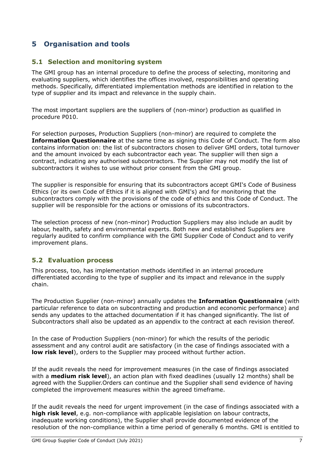## **5 Organisation and tools**

#### <span id="page-6-0"></span>**5.1 Selection and monitoring system**

The GMI group has an internal procedure to define the process of selecting, monitoring and evaluating suppliers, which identifies the offices involved, responsibilities and operating methods. Specifically, differentiated implementation methods are identified in relation to the type of supplier and its impact and relevance in the supply chain.

The most important suppliers are the suppliers of (non-minor) production as qualified in procedure P010.

For selection purposes, Production Suppliers (non-minor) are required to complete the **Information Questionnaire** at the same time as signing this Code of Conduct. The form also contains information on: the list of subcontractors chosen to deliver GMI orders, total turnover and the amount invoiced by each subcontractor each year. The supplier will then sign a contract, indicating any authorised subcontractors. The Supplier may not modify the list of subcontractors it wishes to use without prior consent from the GMI group.

The supplier is responsible for ensuring that its subcontractors accept GMI's Code of Business Ethics (or its own Code of Ethics if it is aligned with GMI's) and for monitoring that the subcontractors comply with the provisions of the code of ethics and this Code of Conduct. The supplier will be responsible for the actions or omissions of its subcontractors.

The selection process of new (non-minor) Production Suppliers may also include an audit by labour, health, safety and environmental experts. Both new and established Suppliers are regularly audited to confirm compliance with the GMI Supplier Code of Conduct and to verify improvement plans.

#### <span id="page-6-1"></span>**5.2 Evaluation process**

This process, too, has implementation methods identified in an internal procedure differentiated according to the type of supplier and its impact and relevance in the supply chain.

The Production Supplier (non-minor) annually updates the **Information Questionnaire** (with particular reference to data on subcontracting and production and economic performance) and sends any updates to the attached documentation if it has changed significantly. The list of Subcontractors shall also be updated as an appendix to the contract at each revision thereof.

In the case of Production Suppliers (non-minor) for which the results of the periodic assessment and any control audit are satisfactory (in the case of findings associated with a **low risk level**), orders to the Supplier may proceed without further action.

If the audit reveals the need for improvement measures (in the case of findings associated with a **medium risk level**), an action plan with fixed deadlines (usually 12 months) shall be agreed with the Supplier.Orders can continue and the Supplier shall send evidence of having completed the improvement measures within the agreed timeframe.

If the audit reveals the need for urgent improvement (in the case of findings associated with a **high risk level**, e.g. non-compliance with applicable legislation on labour contracts, inadequate working conditions), the Supplier shall provide documented evidence of the resolution of the non-compliance within a time period of generally 6 months. GMI is entitled to